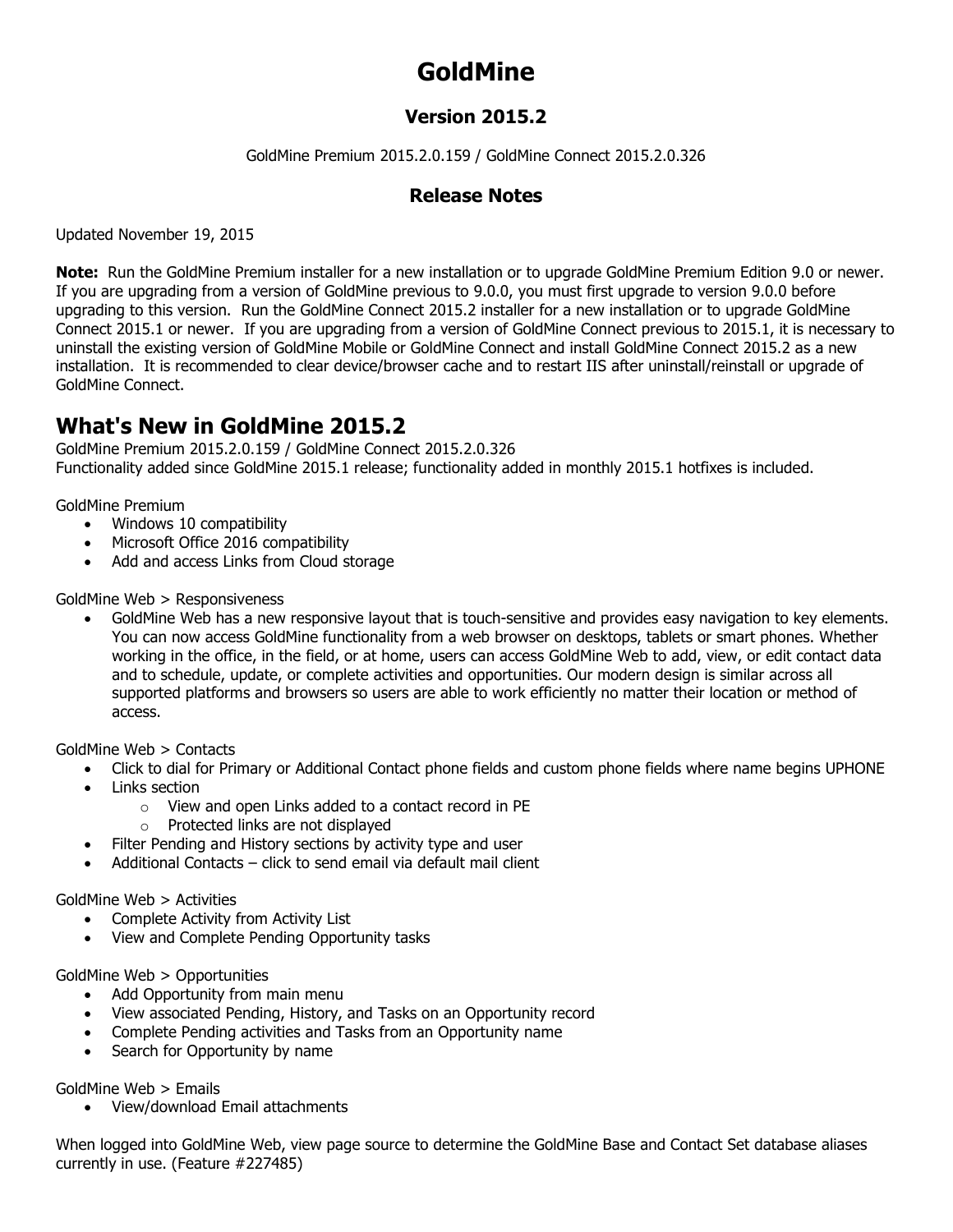# **GoldMine**

#### **Version 2015.2**

GoldMine Premium 2015.2.0.159 / GoldMine Connect 2015.2.0.326

#### **Release Notes**

Updated November 19, 2015

**Note:** Run the GoldMine Premium installer for a new installation or to upgrade GoldMine Premium Edition 9.0 or newer. If you are upgrading from a version of GoldMine previous to 9.0.0, you must first upgrade to version 9.0.0 before upgrading to this version. Run the GoldMine Connect 2015.2 installer for a new installation or to upgrade GoldMine Connect 2015.1 or newer. If you are upgrading from a version of GoldMine Connect previous to 2015.1, it is necessary to uninstall the existing version of GoldMine Mobile or GoldMine Connect and install GoldMine Connect 2015.2 as a new installation. It is recommended to clear device/browser cache and to restart IIS after uninstall/reinstall or upgrade of GoldMine Connect.

### **What's New in GoldMine 2015.2**

GoldMine Premium 2015.2.0.159 / GoldMine Connect 2015.2.0.326 Functionality added since GoldMine 2015.1 release; functionality added in monthly 2015.1 hotfixes is included.

GoldMine Premium

- Windows 10 compatibility
- Microsoft Office 2016 compatibility
- Add and access Links from Cloud storage

GoldMine Web > Responsiveness

• GoldMine Web has a new responsive layout that is touch-sensitive and provides easy navigation to key elements. You can now access GoldMine functionality from a web browser on desktops, tablets or smart phones. Whether working in the office, in the field, or at home, users can access GoldMine Web to add, view, or edit contact data and to schedule, update, or complete activities and opportunities. Our modern design is similar across all supported platforms and browsers so users are able to work efficiently no matter their location or method of access.

GoldMine Web > Contacts

- Click to dial for Primary or Additional Contact phone fields and custom phone fields where name begins UPHONE
- Links section
	- o View and open Links added to a contact record in PE
	- o Protected links are not displayed
- Filter Pending and History sections by activity type and user
- Additional Contacts click to send email via default mail client

GoldMine Web > Activities

- Complete Activity from Activity List
- View and Complete Pending Opportunity tasks

GoldMine Web > Opportunities

- Add Opportunity from main menu
- View associated Pending, History, and Tasks on an Opportunity record
- Complete Pending activities and Tasks from an Opportunity name
- Search for Opportunity by name

GoldMine Web > Emails

• View/download Email attachments

When logged into GoldMine Web, view page source to determine the GoldMine Base and Contact Set database aliases currently in use. (Feature #227485)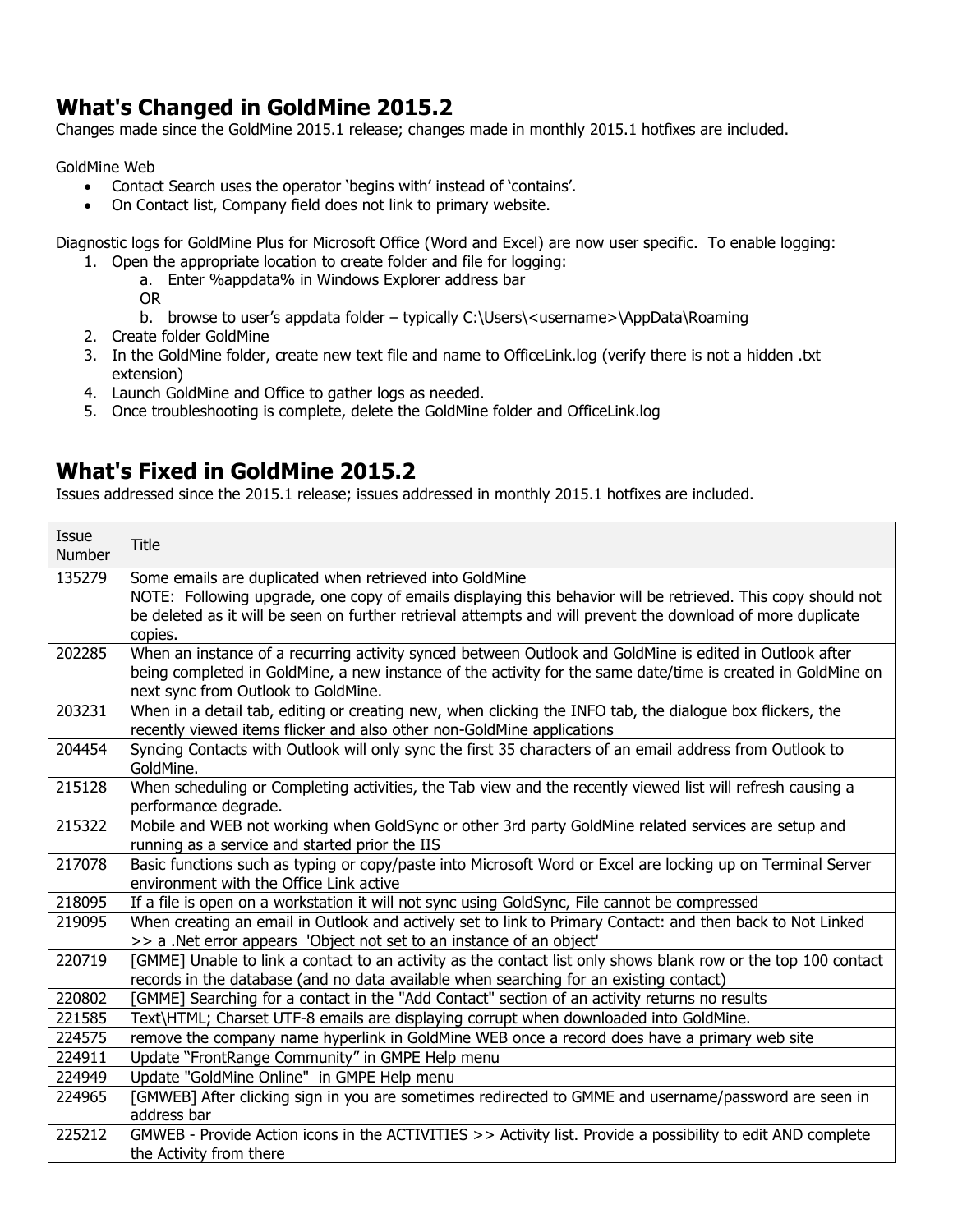## **What's Changed in GoldMine 2015.2**

Changes made since the GoldMine 2015.1 release; changes made in monthly 2015.1 hotfixes are included.

GoldMine Web

- Contact Search uses the operator 'begins with' instead of 'contains'.
- On Contact list, Company field does not link to primary website.

Diagnostic logs for GoldMine Plus for Microsoft Office (Word and Excel) are now user specific. To enable logging: 1. Open the appropriate location to create folder and file for logging:

a. Enter %appdata% in Windows Explorer address bar

OR

- b. browse to user's appdata folder typically C:\Users\<username>\AppData\Roaming
- 2. Create folder GoldMine
- 3. In the GoldMine folder, create new text file and name to OfficeLink.log (verify there is not a hidden .txt extension)
- 4. Launch GoldMine and Office to gather logs as needed.
- 5. Once troubleshooting is complete, delete the GoldMine folder and OfficeLink.log

#### **What's Fixed in GoldMine 2015.2**

Issues addressed since the 2015.1 release; issues addressed in monthly 2015.1 hotfixes are included.

| Issue<br><b>Number</b> | <b>Title</b>                                                                                                   |
|------------------------|----------------------------------------------------------------------------------------------------------------|
| 135279                 | Some emails are duplicated when retrieved into GoldMine                                                        |
|                        | NOTE: Following upgrade, one copy of emails displaying this behavior will be retrieved. This copy should not   |
|                        | be deleted as it will be seen on further retrieval attempts and will prevent the download of more duplicate    |
|                        | copies.                                                                                                        |
| 202285                 | When an instance of a recurring activity synced between Outlook and GoldMine is edited in Outlook after        |
|                        | being completed in GoldMine, a new instance of the activity for the same date/time is created in GoldMine on   |
|                        | next sync from Outlook to GoldMine.                                                                            |
| 203231                 | When in a detail tab, editing or creating new, when clicking the INFO tab, the dialogue box flickers, the      |
|                        | recently viewed items flicker and also other non-GoldMine applications                                         |
| 204454                 | Syncing Contacts with Outlook will only sync the first 35 characters of an email address from Outlook to       |
|                        | GoldMine.                                                                                                      |
| 215128                 | When scheduling or Completing activities, the Tab view and the recently viewed list will refresh causing a     |
|                        | performance degrade.                                                                                           |
| 215322                 | Mobile and WEB not working when GoldSync or other 3rd party GoldMine related services are setup and            |
|                        | running as a service and started prior the IIS                                                                 |
| 217078                 | Basic functions such as typing or copy/paste into Microsoft Word or Excel are locking up on Terminal Server    |
|                        | environment with the Office Link active                                                                        |
| 218095                 | If a file is open on a workstation it will not sync using GoldSync, File cannot be compressed                  |
| 219095                 | When creating an email in Outlook and actively set to link to Primary Contact: and then back to Not Linked     |
|                        | >> a .Net error appears 'Object not set to an instance of an object'                                           |
| 220719                 | [GMME] Unable to link a contact to an activity as the contact list only shows blank row or the top 100 contact |
|                        | records in the database (and no data available when searching for an existing contact)                         |
| 220802                 | [GMME] Searching for a contact in the "Add Contact" section of an activity returns no results                  |
| 221585                 | Text\HTML; Charset UTF-8 emails are displaying corrupt when downloaded into GoldMine.                          |
| 224575                 | remove the company name hyperlink in GoldMine WEB once a record does have a primary web site                   |
| 224911                 | Update "FrontRange Community" in GMPE Help menu                                                                |
| 224949                 | Update "GoldMine Online" in GMPE Help menu                                                                     |
| 224965                 | [GMWEB] After clicking sign in you are sometimes redirected to GMME and username/password are seen in          |
|                        | address bar                                                                                                    |
| 225212                 | GMWEB - Provide Action icons in the ACTIVITIES >> Activity list. Provide a possibility to edit AND complete    |
|                        | the Activity from there                                                                                        |